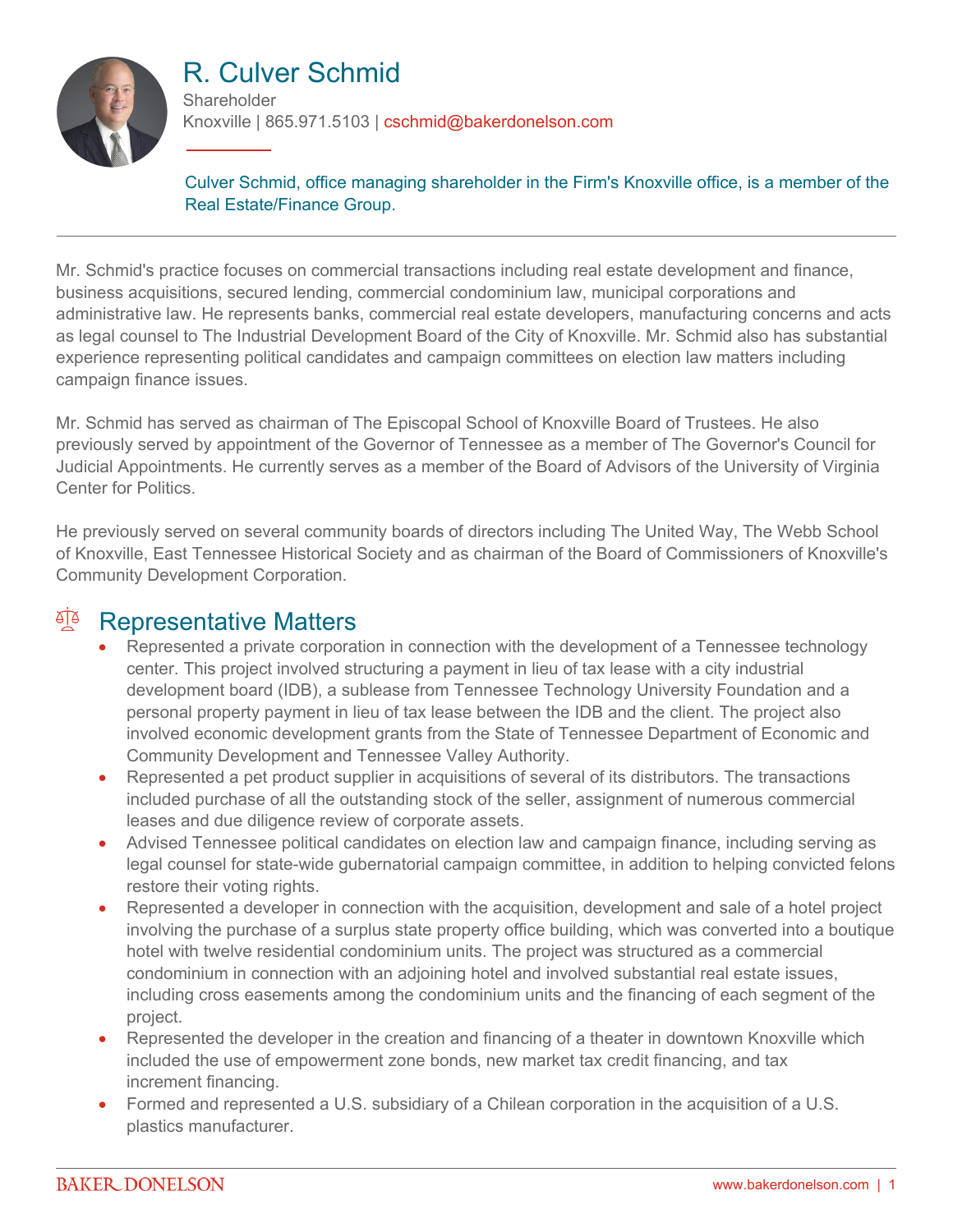

# R. Culver Schmid

**Shareholder** Knoxville | 865.971.5103 | cschmid@bakerdonelson.com

Culver Schmid, office managing shareholder in the Firm's Knoxville office, is a member of the Real Estate/Finance Group.

Mr. Schmid's practice focuses on commercial transactions including real estate development and finance, business acquisitions, secured lending, commercial condominium law, municipal corporations and administrative law. He represents banks, commercial real estate developers, manufacturing concerns and acts as legal counsel to The Industrial Development Board of the City of Knoxville. Mr. Schmid also has substantial experience representing political candidates and campaign committees on election law matters including campaign finance issues.

Mr. Schmid has served as chairman of The Episcopal School of Knoxville Board of Trustees. He also previously served by appointment of the Governor of Tennessee as a member of The Governor's Council for Judicial Appointments. He currently serves as a member of the Board of Advisors of the University of Virginia Center for Politics.

He previously served on several community boards of directors including The United Way, The Webb School of Knoxville, East Tennessee Historical Society and as chairman of the Board of Commissioners of Knoxville's Community Development Corporation.

#### <sup>en</sup> Representative Matters

- Represented a private corporation in connection with the development of a Tennessee technology center. This project involved structuring a payment in lieu of tax lease with a city industrial development board (IDB), a sublease from Tennessee Technology University Foundation and a personal property payment in lieu of tax lease between the IDB and the client. The project also involved economic development grants from the State of Tennessee Department of Economic and Community Development and Tennessee Valley Authority.
- Represented a pet product supplier in acquisitions of several of its distributors. The transactions included purchase of all the outstanding stock of the seller, assignment of numerous commercial leases and due diligence review of corporate assets.
- Advised Tennessee political candidates on election law and campaign finance, including serving as legal counsel for state-wide gubernatorial campaign committee, in addition to helping convicted felons restore their voting rights.
- Represented a developer in connection with the acquisition, development and sale of a hotel project involving the purchase of a surplus state property office building, which was converted into a boutique hotel with twelve residential condominium units. The project was structured as a commercial condominium in connection with an adjoining hotel and involved substantial real estate issues, including cross easements among the condominium units and the financing of each segment of the project.
- Represented the developer in the creation and financing of a theater in downtown Knoxville which included the use of empowerment zone bonds, new market tax credit financing, and tax increment financing.
- Formed and represented a U.S. subsidiary of a Chilean corporation in the acquisition of a U.S. plastics manufacturer.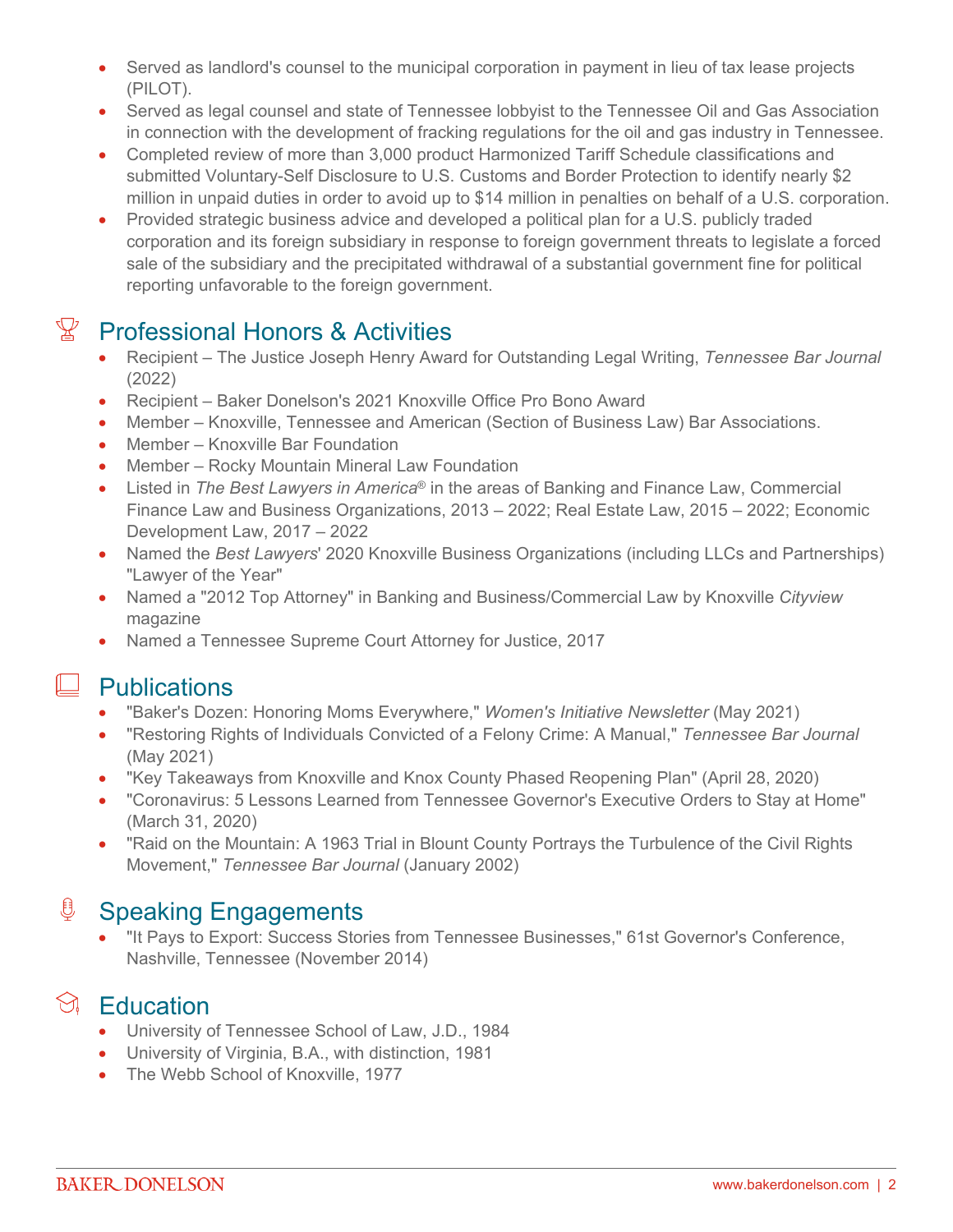- Served as landlord's counsel to the municipal corporation in payment in lieu of tax lease projects (PILOT).
- Served as legal counsel and state of Tennessee lobbyist to the Tennessee Oil and Gas Association in connection with the development of fracking regulations for the oil and gas industry in Tennessee.
- Completed review of more than 3,000 product Harmonized Tariff Schedule classifications and submitted Voluntary-Self Disclosure to U.S. Customs and Border Protection to identify nearly \$2 million in unpaid duties in order to avoid up to \$14 million in penalties on behalf of a U.S. corporation.
- Provided strategic business advice and developed a political plan for a U.S. publicly traded corporation and its foreign subsidiary in response to foreign government threats to legislate a forced sale of the subsidiary and the precipitated withdrawal of a substantial government fine for political reporting unfavorable to the foreign government.

## $\mathbb{Y}$  Professional Honors & Activities

- Recipient The Justice Joseph Henry Award for Outstanding Legal Writing, *Tennessee Bar Journal* (2022)
- Recipient Baker Donelson's 2021 Knoxville Office Pro Bono Award
- Member Knoxville, Tennessee and American (Section of Business Law) Bar Associations.
- Member Knoxville Bar Foundation
- Member Rocky Mountain Mineral Law Foundation
- Listed in *The Best Lawyers in America*® in the areas of Banking and Finance Law, Commercial Finance Law and Business Organizations, 2013 – 2022; Real Estate Law, 2015 – 2022; Economic Development Law, 2017 – 2022
- Named the *Best Lawyers*' 2020 Knoxville Business Organizations (including LLCs and Partnerships) "Lawyer of the Year"
- Named a "2012 Top Attorney" in Banking and Business/Commercial Law by Knoxville *Cityview* magazine
- Named a Tennessee Supreme Court Attorney for Justice, 2017

#### **Publications**

- "Baker's Dozen: Honoring Moms Everywhere," *Women's Initiative Newsletter* (May 2021)
- "Restoring Rights of Individuals Convicted of a Felony Crime: A Manual," *Tennessee Bar Journal* (May 2021)
- "Key Takeaways from Knoxville and Knox County Phased Reopening Plan" (April 28, 2020)
- "Coronavirus: 5 Lessons Learned from Tennessee Governor's Executive Orders to Stay at Home" (March 31, 2020)
- "Raid on the Mountain: A 1963 Trial in Blount County Portrays the Turbulence of the Civil Rights Movement," *Tennessee Bar Journal* (January 2002)

#### ₿ Speaking Engagements

 "It Pays to Export: Success Stories from Tennessee Businesses," 61st Governor's Conference, Nashville, Tennessee (November 2014)

## $\Im$  Education

- University of Tennessee School of Law, J.D., 1984
- University of Virginia, B.A., with distinction, 1981
- The Webb School of Knoxville, 1977